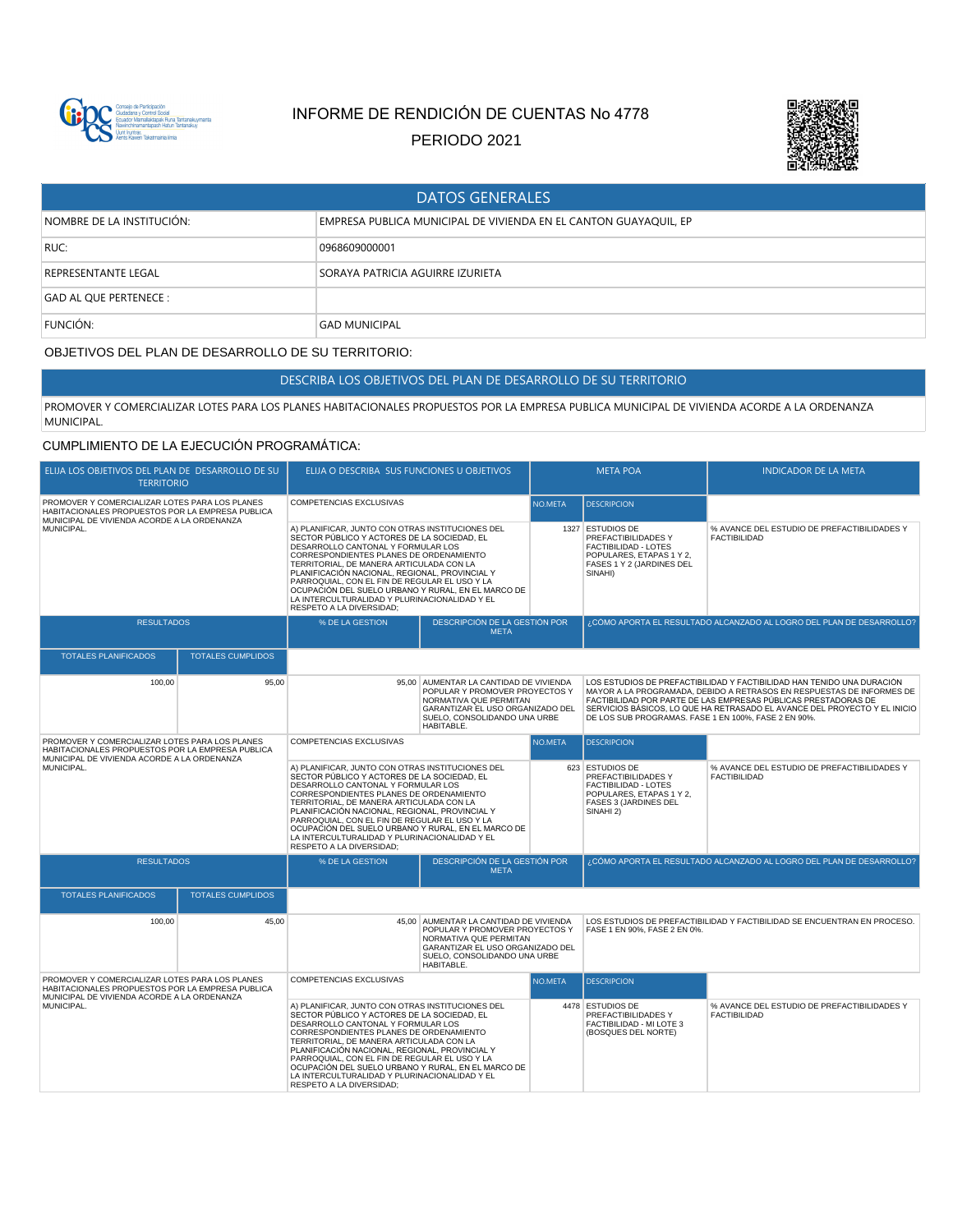

# INFORME DE RENDICIÓN DE CUENTAS No 4778

PERIODO 2021



| <b>DATOS GENERALES</b>     |                                                                  |  |  |  |
|----------------------------|------------------------------------------------------------------|--|--|--|
| NOMBRE DE LA INSTITUCIÓN:  | EMPRESA PUBLICA MUNICIPAL DE VIVIENDA EN EL CANTON GUAYAQUIL, EP |  |  |  |
| RUC:                       | 0968609000001                                                    |  |  |  |
| <b>REPRESENTANTE LEGAL</b> | SORAYA PATRICIA AGUIRRE IZURIETA                                 |  |  |  |
| GAD AL QUE PERTENECE :     |                                                                  |  |  |  |
| FUNCIÓN:                   | <b>GAD MUNICIPAL</b>                                             |  |  |  |

# OBJETIVOS DEL PLAN DE DESARROLLO DE SU TERRITORIO:

DESCRIBA LOS OBJETIVOS DEL PLAN DE DESARROLLO DE SU TERRITORIO

PROMOVER Y COMERCIALIZAR LOTES PARA LOS PLANES HABITACIONALES PROPUESTOS POR LA EMPRESA PUBLICA MUNICIPAL DE VIVIENDA ACORDE A LA ORDENANZA MUNICIPAL.

## CUMPLIMIENTO DE LA EJECUCIÓN PROGRAMÁTICA:

| ELIJA LOS OBJETIVOS DEL PLAN DE DESARROLLO DE SU<br><b>TERRITORIO</b>                                                                                           |                          | ELIJA O DESCRIBA SUS FUNCIONES U OBJETIVOS                                                                                                                                                                                                                                                                                                                                                                                                                         |                                                                                                                                                                                | <b>META POA</b> |                                                                                                                                                                                                                                                                                                                                                        | <b>INDICADOR DE LA META</b>                                              |
|-----------------------------------------------------------------------------------------------------------------------------------------------------------------|--------------------------|--------------------------------------------------------------------------------------------------------------------------------------------------------------------------------------------------------------------------------------------------------------------------------------------------------------------------------------------------------------------------------------------------------------------------------------------------------------------|--------------------------------------------------------------------------------------------------------------------------------------------------------------------------------|-----------------|--------------------------------------------------------------------------------------------------------------------------------------------------------------------------------------------------------------------------------------------------------------------------------------------------------------------------------------------------------|--------------------------------------------------------------------------|
| PROMOVER Y COMERCIALIZAR LOTES PARA LOS PLANES<br>HABITACIONALES PROPUESTOS POR LA EMPRESA PUBLICA<br>MUNICIPAL DE VIVIENDA ACORDE A LA ORDENANZA               |                          | COMPETENCIAS EXCLUSIVAS                                                                                                                                                                                                                                                                                                                                                                                                                                            |                                                                                                                                                                                | NO.META         | <b>DESCRIPCION</b>                                                                                                                                                                                                                                                                                                                                     |                                                                          |
| MUNICIPAL.                                                                                                                                                      |                          | A) PLANIFICAR, JUNTO CON OTRAS INSTITUCIONES DEL<br>SECTOR PÚBLICO Y ACTORES DE LA SOCIEDAD, EL<br>DESARROLLO CANTONAL Y FORMULAR LOS<br>CORRESPONDIENTES PLANES DE ORDENAMIENTO<br>TERRITORIAL, DE MANERA ARTICULADA CON LA<br>PLANIFICACIÓN NACIONAL, REGIONAL, PROVINCIAL Y<br>PARROQUIAL, CON EL FIN DE REGULAR EL USO Y LA<br>OCUPACIÓN DEL SUELO URBANO Y RURAL, EN EL MARCO DE<br>LA INTERCULTURALIDAD Y PLURINACIONALIDAD Y EL<br>RESPETO A LA DIVERSIDAD; |                                                                                                                                                                                |                 | 1327 ESTUDIOS DE<br>PREFACTIBILIDADES Y<br>FACTIBILIDAD - LOTES<br>POPULARES, ETAPAS 1 Y 2,<br>FASES 1 Y 2 (JARDINES DEL<br>SINAHI)                                                                                                                                                                                                                    | % AVANCE DEL ESTUDIO DE PREFACTIBILIDADES Y<br><b>FACTIBILIDAD</b>       |
| <b>RESULTADOS</b>                                                                                                                                               |                          | % DE LA GESTION                                                                                                                                                                                                                                                                                                                                                                                                                                                    | DESCRIPCIÓN DE LA GESTIÓN POR<br><b>META</b>                                                                                                                                   |                 |                                                                                                                                                                                                                                                                                                                                                        | ¿CÓMO APORTA EL RESULTADO ALCANZADO AL LOGRO DEL PLAN DE DESARROLLO?     |
| <b>TOTALES PLANIFICADOS</b>                                                                                                                                     | <b>TOTALES CUMPLIDOS</b> |                                                                                                                                                                                                                                                                                                                                                                                                                                                                    |                                                                                                                                                                                |                 |                                                                                                                                                                                                                                                                                                                                                        |                                                                          |
| 100.00                                                                                                                                                          | 95.00                    | 95.00                                                                                                                                                                                                                                                                                                                                                                                                                                                              | AUMENTAR LA CANTIDAD DE VIVIENDA<br>POPULAR Y PROMOVER PROYECTOS Y<br>NORMATIVA QUE PERMITAN<br>GARANTIZAR EL USO ORGANIZADO DEL<br>SUELO, CONSOLIDANDO UNA URBE<br>HABITABLE. |                 | LOS ESTUDIOS DE PREFACTIBILIDAD Y FACTIBILIDAD HAN TENIDO UNA DURACIÓN<br>MAYOR A LA PROGRAMADA, DEBIDO A RETRASOS EN RESPUESTAS DE INFORMES DE<br>FACTIBILIDAD POR PARTE DE LAS EMPRESAS PÚBLICAS PRESTADORAS DE<br>SERVICIOS BÁSICOS, LO QUE HA RETRASADO EL AVANCE DEL PROYECTO Y EL INICIO<br>DE LOS SUB PROGRAMAS. FASE 1 EN 100%, FASE 2 EN 90%. |                                                                          |
| PROMOVER Y COMERCIALIZAR LOTES PARA LOS PLANES<br>HABITACIONALES PROPUESTOS POR LA EMPRESA PUBLICA<br>MUNICIPAL DE VIVIENDA ACORDE A LA ORDENANZA<br>MUNICIPAL. |                          | <b>COMPETENCIAS EXCLUSIVAS</b>                                                                                                                                                                                                                                                                                                                                                                                                                                     |                                                                                                                                                                                | NO.META         | <b>DESCRIPCION</b>                                                                                                                                                                                                                                                                                                                                     |                                                                          |
|                                                                                                                                                                 |                          | A) PLANIFICAR, JUNTO CON OTRAS INSTITUCIONES DEL<br>SECTOR PÚBLICO Y ACTORES DE LA SOCIEDAD, EL<br>DESARROLLO CANTONAL Y FORMULAR LOS<br>CORRESPONDIENTES PLANES DE ORDENAMIENTO<br>TERRITORIAL, DE MANERA ARTICULADA CON LA<br>PLANIFICACIÓN NACIONAL, REGIONAL, PROVINCIAL Y<br>PARROQUIAL, CON EL FIN DE REGULAR EL USO Y LA<br>OCUPACIÓN DEL SUELO URBANO Y RURAL, EN EL MARCO DE<br>LA INTERCULTURALIDAD Y PLURINACIONALIDAD Y EL<br>RESPETO A LA DIVERSIDAD: |                                                                                                                                                                                |                 | 623 ESTUDIOS DE<br>PREFACTIBILIDADES Y<br>FACTIBILIDAD - LOTES<br>POPULARES. ETAPAS 1 Y 2.<br>FASES 3 (JARDINES DEL<br>SINAHI 2)                                                                                                                                                                                                                       | % AVANCE DEL ESTUDIO DE PREFACTIBILIDADES Y<br><b>FACTIBILIDAD</b>       |
| <b>RESULTADOS</b>                                                                                                                                               |                          | DESCRIPCIÓN DE LA GESTIÓN POR<br>% DE LA GESTION<br><b>META</b>                                                                                                                                                                                                                                                                                                                                                                                                    |                                                                                                                                                                                |                 | ¿CÓMO APORTA EL RESULTADO ALCANZADO AL LOGRO DEL PLAN DE DESARROLLO?                                                                                                                                                                                                                                                                                   |                                                                          |
| <b>TOTALES PLANIFICADOS</b>                                                                                                                                     | <b>TOTALES CUMPLIDOS</b> |                                                                                                                                                                                                                                                                                                                                                                                                                                                                    |                                                                                                                                                                                |                 |                                                                                                                                                                                                                                                                                                                                                        |                                                                          |
| 100,00                                                                                                                                                          | 45,00                    | AUMENTAR LA CANTIDAD DE VIVIENDA<br>45.00<br>POPULAR Y PROMOVER PROYECTOS Y<br>NORMATIVA QUE PERMITAN<br>GARANTIZAR EL USO ORGANIZADO DEL<br>SUELO, CONSOLIDANDO UNA URBE<br>HABITABLE.                                                                                                                                                                                                                                                                            |                                                                                                                                                                                |                 | FASE 1 EN 90%, FASE 2 EN 0%.                                                                                                                                                                                                                                                                                                                           | LOS ESTUDIOS DE PREFACTIBILIDAD Y FACTIBILIDAD SE ENCUENTRAN EN PROCESO. |
| PROMOVER Y COMERCIALIZAR LOTES PARA LOS PLANES                                                                                                                  |                          | COMPETENCIAS EXCLUSIVAS                                                                                                                                                                                                                                                                                                                                                                                                                                            |                                                                                                                                                                                | NO.META         | <b>DESCRIPCION</b>                                                                                                                                                                                                                                                                                                                                     |                                                                          |
| HABITACIONALES PROPUESTOS POR LA EMPRESA PUBLICA<br>MUNICIPAL DE VIVIENDA ACORDE A LA ORDENANZA<br>MUNICIPAL.                                                   |                          | A) PLANIFICAR, JUNTO CON OTRAS INSTITUCIONES DEL<br>SECTOR PÚBLICO Y ACTORES DE LA SOCIEDAD. EL<br>DESARROLLO CANTONAL Y FORMULAR LOS<br>CORRESPONDIENTES PLANES DE ORDENAMIENTO<br>TERRITORIAL, DE MANERA ARTICULADA CON LA<br>PLANIFICACIÓN NACIONAL, REGIONAL, PROVINCIAL Y<br>PARROQUIAL, CON EL FIN DE REGULAR EL USO Y LA<br>OCUPACIÓN DEL SUELO URBANO Y RURAL, EN EL MARCO DE<br>LA INTERCULTURALIDAD Y PLURINACIONALIDAD Y EL<br>RESPETO A LA DIVERSIDAD; |                                                                                                                                                                                |                 | 4478 ESTUDIOS DE<br>PREFACTIBILIDADES Y<br>FACTIBILIDAD - MI LOTE 3<br>(BOSQUES DEL NORTE)                                                                                                                                                                                                                                                             | % AVANCE DEL ESTUDIO DE PREFACTIBILIDADES Y<br><b>FACTIBILIDAD</b>       |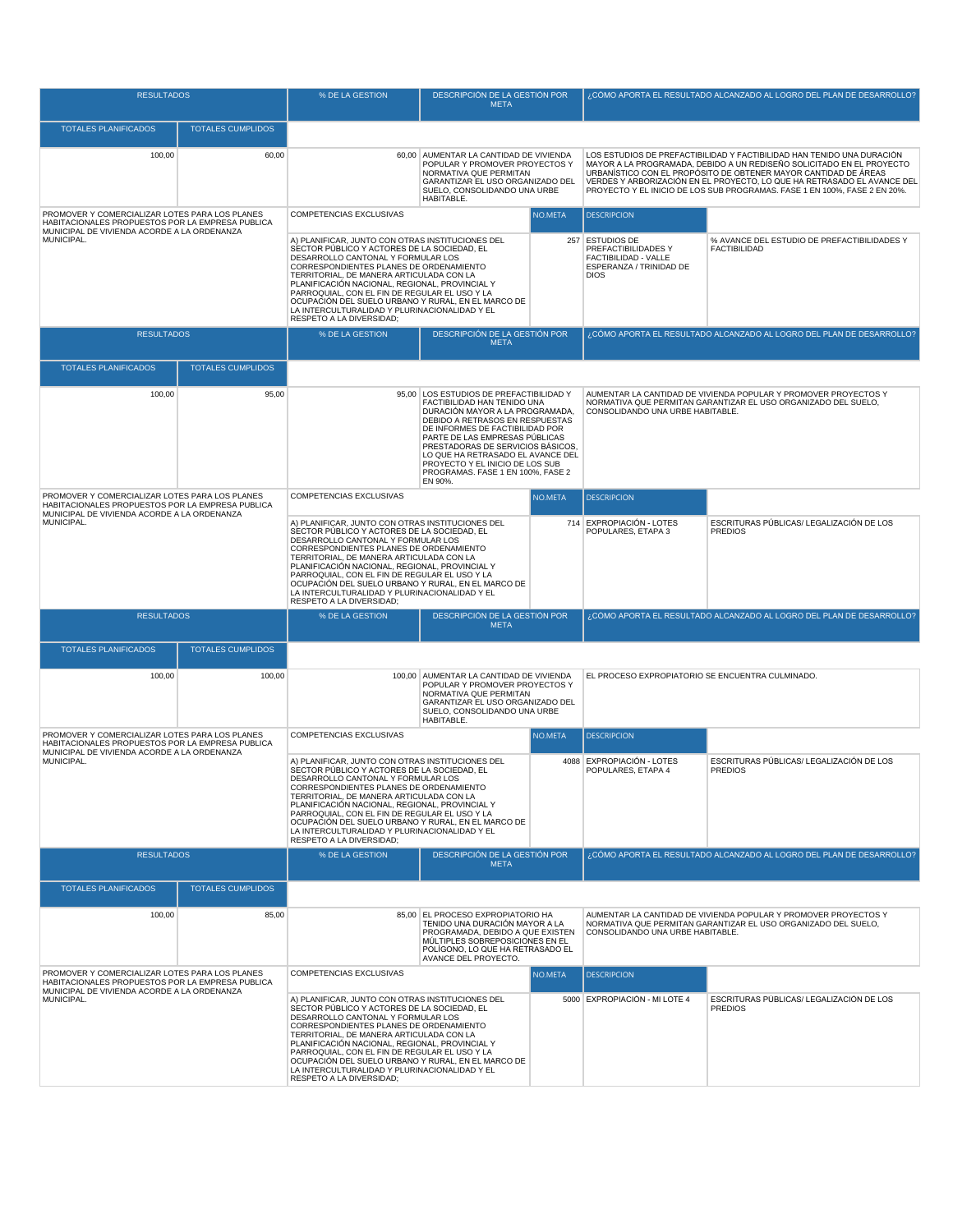| <b>RESULTADOS</b>                                                                                                                                 |                          | % DE LA GESTION                                                                                                                                                                                                                                                                                                                                                                                                                                                    | <b>DESCRIPCIÓN DE LA GESTIÓN POR</b><br><b>META</b>                                                                                                                                                                                                                                                                                                                      |                                  | ¿CÓMO APORTA EL RESULTADO ALCANZADO AL LOGRO DEL PLAN DE DESARROLLO?                                                              |                                                                                                                                                                                                                                                                                                                                                                            |
|---------------------------------------------------------------------------------------------------------------------------------------------------|--------------------------|--------------------------------------------------------------------------------------------------------------------------------------------------------------------------------------------------------------------------------------------------------------------------------------------------------------------------------------------------------------------------------------------------------------------------------------------------------------------|--------------------------------------------------------------------------------------------------------------------------------------------------------------------------------------------------------------------------------------------------------------------------------------------------------------------------------------------------------------------------|----------------------------------|-----------------------------------------------------------------------------------------------------------------------------------|----------------------------------------------------------------------------------------------------------------------------------------------------------------------------------------------------------------------------------------------------------------------------------------------------------------------------------------------------------------------------|
| <b>TOTALES PLANIFICADOS</b>                                                                                                                       | <b>TOTALES CUMPLIDOS</b> |                                                                                                                                                                                                                                                                                                                                                                                                                                                                    |                                                                                                                                                                                                                                                                                                                                                                          |                                  |                                                                                                                                   |                                                                                                                                                                                                                                                                                                                                                                            |
| 100,00                                                                                                                                            | 60,00                    | 60,00                                                                                                                                                                                                                                                                                                                                                                                                                                                              | AUMENTAR LA CANTIDAD DE VIVIENDA<br>POPULAR Y PROMOVER PROYECTOS Y<br>NORMATIVA QUE PERMITAN<br>GARANTIZAR EL USO ORGANIZADO DEL<br>SUELO, CONSOLIDANDO UNA URBE<br>HABITABLE.                                                                                                                                                                                           |                                  |                                                                                                                                   | LOS ESTUDIOS DE PREFACTIBILIDAD Y FACTIBILIDAD HAN TENIDO UNA DURACIÓN<br>MAYOR A LA PROGRAMADA, DEBIDO A UN REDISEÑO SOLICITADO EN EL PROYECTO<br>URBANÍSTICO CON EL PROPÓSITO DE OBTENER MAYOR CANTIDAD DE ÁREAS<br>VERDES Y ARBORIZACIÓN EN EL PROYECTO, LO QUE HA RETRASADO EL AVANCE DEL<br>PROYECTO Y EL INICIO DE LOS SUB PROGRAMAS. FASE 1 EN 100%, FASE 2 EN 20%. |
| PROMOVER Y COMERCIALIZAR LOTES PARA LOS PLANES<br>HABITACIONALES PROPUESTOS POR LA EMPRESA PUBLICA                                                |                          | COMPETENCIAS EXCLUSIVAS                                                                                                                                                                                                                                                                                                                                                                                                                                            |                                                                                                                                                                                                                                                                                                                                                                          | NO.META                          | <b>DESCRIPCION</b>                                                                                                                |                                                                                                                                                                                                                                                                                                                                                                            |
| MUNICIPAL DE VIVIENDA ACORDE A LA ORDENANZA<br>MUNICIPAL.                                                                                         |                          | A) PLANIFICAR, JUNTO CON OTRAS INSTITUCIONES DEL<br>SECTOR PÚBLICO Y ACTORES DE LA SOCIEDAD, EL<br>DESARROLLO CANTONAL Y FORMULAR LOS<br>CORRESPONDIENTES PLANES DE ORDENAMIENTO<br>TERRITORIAL, DE MANERA ARTICULADA CON LA<br>PLANIFICACIÓN NACIONAL, REGIONAL, PROVINCIAL Y<br>PARROQUIAL, CON EL FIN DE REGULAR EL USO Y LA<br>OCUPACIÓN DEL SUELO URBANO Y RURAL, EN EL MARCO DE<br>LA INTERCULTURALIDAD Y PLURINACIONALIDAD Y EL<br>RESPETO A LA DIVERSIDAD; |                                                                                                                                                                                                                                                                                                                                                                          |                                  | 257 ESTUDIOS DE<br>PREFACTIBILIDADES Y<br>FACTIBILIDAD - VALLE<br>ESPERANZA / TRINIDAD DE<br><b>DIOS</b>                          | % AVANCE DEL ESTUDIO DE PREFACTIBILIDADES Y<br><b>FACTIBILIDAD</b>                                                                                                                                                                                                                                                                                                         |
| <b>RESULTADOS</b>                                                                                                                                 |                          | % DE LA GESTION                                                                                                                                                                                                                                                                                                                                                                                                                                                    | DESCRIPCIÓN DE LA GESTIÓN POR<br><b>META</b>                                                                                                                                                                                                                                                                                                                             |                                  |                                                                                                                                   | ¿CÓMO APORTA EL RESULTADO ALCANZADO AL LOGRO DEL PLAN DE DESARROLLO?                                                                                                                                                                                                                                                                                                       |
| <b>TOTALES PLANIFICADOS</b>                                                                                                                       | <b>TOTALES CUMPLIDOS</b> |                                                                                                                                                                                                                                                                                                                                                                                                                                                                    |                                                                                                                                                                                                                                                                                                                                                                          |                                  |                                                                                                                                   |                                                                                                                                                                                                                                                                                                                                                                            |
| 100,00                                                                                                                                            | 95,00                    | 95,00                                                                                                                                                                                                                                                                                                                                                                                                                                                              | LOS ESTUDIOS DE PREFACTIBILIDAD Y<br>FACTIBILIDAD HAN TENIDO UNA<br>DURACIÓN MAYOR A LA PROGRAMADA,<br>DEBIDO A RETRASOS EN RESPUESTAS<br>DE INFORMES DE FACTIBILIDAD POR<br>PARTE DE LAS EMPRESAS PÚBLICAS<br>PRESTADORAS DE SERVICIOS BÁSICOS,<br>LO QUE HA RETRASADO EL AVANCE DEL<br>PROYECTO Y EL INICIO DE LOS SUB<br>PROGRAMAS. FASE 1 EN 100%, FASE 2<br>EN 90%. |                                  | CONSOLIDANDO UNA URBE HABITABLE.                                                                                                  | AUMENTAR LA CANTIDAD DE VIVIENDA POPULAR Y PROMOVER PROYECTOS Y<br>NORMATIVA QUE PERMITAN GARANTIZAR EL USO ORGANIZADO DEL SUELO,                                                                                                                                                                                                                                          |
| PROMOVER Y COMERCIALIZAR LOTES PARA LOS PLANES<br>HABITACIONALES PROPUESTOS POR LA EMPRESA PUBLICA                                                |                          | COMPETENCIAS EXCLUSIVAS                                                                                                                                                                                                                                                                                                                                                                                                                                            |                                                                                                                                                                                                                                                                                                                                                                          | NO.META                          | <b>DESCRIPCION</b>                                                                                                                |                                                                                                                                                                                                                                                                                                                                                                            |
| MUNICIPAL DE VIVIENDA ACORDE A LA ORDENANZA<br>MUNICIPAL.                                                                                         |                          | A) PLANIFICAR, JUNTO CON OTRAS INSTITUCIONES DEL<br>SECTOR PÚBLICO Y ACTORES DE LA SOCIEDAD. EL<br>DESARROLLO CANTONAL Y FORMULAR LOS<br>CORRESPONDIENTES PLANES DE ORDENAMIENTO<br>TERRITORIAL, DE MANERA ARTICULADA CON LA<br>PLANIFICACIÓN NACIONAL, REGIONAL, PROVINCIAL Y<br>PARROQUIAL, CON EL FIN DE REGULAR EL USO Y LA<br>OCUPACIÓN DEL SUELO URBANO Y RURAL, EN EL MARCO DE<br>LA INTERCULTURALIDAD Y PLURINACIONALIDAD Y EL<br>RESPETO A LA DIVERSIDAD; |                                                                                                                                                                                                                                                                                                                                                                          |                                  | 714 EXPROPIACIÓN - LOTES<br>POPULARES, ETAPA 3                                                                                    | ESCRITURAS PÚBLICAS/ LEGALIZACIÓN DE LOS<br><b>PREDIOS</b>                                                                                                                                                                                                                                                                                                                 |
| <b>RESULTADOS</b>                                                                                                                                 |                          | % DE LA GESTION                                                                                                                                                                                                                                                                                                                                                                                                                                                    | DESCRIPCIÓN DE LA GESTIÓN POR<br><b>META</b>                                                                                                                                                                                                                                                                                                                             |                                  | ¿CÓMO APORTA EL RESULTADO ALCANZADO AL LOGRO DEL PLAN DE DESARROLLO?                                                              |                                                                                                                                                                                                                                                                                                                                                                            |
| <b>TOTALES PLANIFICADOS</b>                                                                                                                       | <b>TOTALES CUMPLIDOS</b> |                                                                                                                                                                                                                                                                                                                                                                                                                                                                    |                                                                                                                                                                                                                                                                                                                                                                          |                                  |                                                                                                                                   |                                                                                                                                                                                                                                                                                                                                                                            |
| 100,00                                                                                                                                            | 100,00                   | 100,00                                                                                                                                                                                                                                                                                                                                                                                                                                                             | AUMENTAR LA CANTIDAD DE VIVIENDA<br>POPULAR Y PROMOVER PROYECTOS Y<br>NORMATIVA QUE PERMITAN<br>GARANTIZAR EL USO ORGANIZADO DEL<br>SUELO, CONSOLIDANDO UNA URBE<br>HABITABLE.                                                                                                                                                                                           |                                  | EL PROCESO EXPROPIATORIO SE ENCUENTRA CULMINADO.                                                                                  |                                                                                                                                                                                                                                                                                                                                                                            |
| PROMOVER Y COMERCIALIZAR LOTES PARA LOS PLANES<br>HABITACIONALES PROPUESTOS POR LA EMPRESA PUBLICA                                                |                          | COMPETENCIAS EXCLUSIVAS                                                                                                                                                                                                                                                                                                                                                                                                                                            |                                                                                                                                                                                                                                                                                                                                                                          | NO.META                          | <b>DESCRIPCION</b>                                                                                                                |                                                                                                                                                                                                                                                                                                                                                                            |
| MUNICIPAL DE VIVIENDA ACORDE A LA ORDENANZA<br>MUNICIPAL.                                                                                         |                          | A) PLANIFICAR, JUNTO CON OTRAS INSTITUCIONES DEL<br>SECTOR PÚBLICO Y ACTORES DE LA SOCIEDAD, EL<br>DESARROLLO CANTONAL Y FORMULAR LOS<br>CORRESPONDIENTES PLANES DE ORDENAMIENTO<br>TERRITORIAL, DE MANERA ARTICULADA CON LA<br>PLANIFICACIÓN NACIONAL, REGIONAL, PROVINCIAL Y<br>PARROQUIAL, CON EL FIN DE REGULAR EL USO Y LA<br>OCUPACIÓN DEL SUELO URBANO Y RURAL, EN EL MARCO DE<br>LA INTERCULTURALIDAD Y PLURINACIONALIDAD Y EL<br>RESPETO A LA DIVERSIDAD; |                                                                                                                                                                                                                                                                                                                                                                          |                                  | 4088 EXPROPIACIÓN - LOTES<br>POPULARES, ETAPA 4                                                                                   | ESCRITURAS PÚBLICAS/ LEGALIZACIÓN DE LOS<br><b>PREDIOS</b>                                                                                                                                                                                                                                                                                                                 |
| <b>RESULTADOS</b>                                                                                                                                 |                          | % DE LA GESTION                                                                                                                                                                                                                                                                                                                                                                                                                                                    | DESCRIPCIÓN DE LA GESTIÓN POR<br><b>META</b>                                                                                                                                                                                                                                                                                                                             |                                  |                                                                                                                                   | ¿CÓMO APORTA EL RESULTADO ALCANZADO AL LOGRO DEL PLAN DE DESARROLLO?                                                                                                                                                                                                                                                                                                       |
| <b>TOTALES PLANIFICADOS</b>                                                                                                                       | <b>TOTALES CUMPLIDOS</b> |                                                                                                                                                                                                                                                                                                                                                                                                                                                                    |                                                                                                                                                                                                                                                                                                                                                                          |                                  |                                                                                                                                   |                                                                                                                                                                                                                                                                                                                                                                            |
| 100,00<br>85,00                                                                                                                                   |                          | EL PROCESO EXPROPIATORIO HA<br>85,00<br>TENIDO UNA DURACIÓN MAYOR A LA<br>PROGRAMADA, DEBIDO A QUE EXISTEN<br>MÚLTIPLES SOBREPOSICIONES EN EL<br>POLÍGONO. LO QUE HA RETRASADO EL<br>AVANCE DEL PROYECTO.                                                                                                                                                                                                                                                          |                                                                                                                                                                                                                                                                                                                                                                          | CONSOLIDANDO UNA URBE HABITABLE. | AUMENTAR LA CANTIDAD DE VIVIENDA POPULAR Y PROMOVER PROYECTOS Y<br>NORMATIVA QUE PERMITAN GARANTIZAR EL USO ORGANIZADO DEL SUELO, |                                                                                                                                                                                                                                                                                                                                                                            |
| PROMOVER Y COMERCIALIZAR LOTES PARA LOS PLANES<br>HABITACIONALES PROPUESTOS POR LA EMPRESA PUBLICA<br>MUNICIPAL DE VIVIENDA ACORDE A LA ORDENANZA |                          | COMPETENCIAS EXCLUSIVAS                                                                                                                                                                                                                                                                                                                                                                                                                                            |                                                                                                                                                                                                                                                                                                                                                                          | NO.META                          | <b>DESCRIPCION</b>                                                                                                                |                                                                                                                                                                                                                                                                                                                                                                            |
| MUNICIPAL.                                                                                                                                        |                          | A) PLANIFICAR, JUNTO CON OTRAS INSTITUCIONES DEL<br>SECTOR PÚBLICO Y ACTORES DE LA SOCIEDAD, EL<br>DESARROLLO CANTONAL Y FORMULAR LOS<br>CORRESPONDIENTES PLANES DE ORDENAMIENTO<br>TERRITORIAL, DE MANERA ARTICULADA CON LA<br>PLANIFICACIÓN NACIONAL, REGIONAL, PROVINCIAL Y<br>PARROQUIAL, CON EL FIN DE REGULAR EL USO Y LA<br>OCUPACIÓN DEL SUELO URBANO Y RURAL, EN EL MARCO DE<br>LA INTERCULTURALIDAD Y PLURINACIONALIDAD Y EL<br>RESPETO A LA DIVERSIDAD; |                                                                                                                                                                                                                                                                                                                                                                          |                                  | 5000 EXPROPIACIÓN - MI LOTE 4                                                                                                     | ESCRITURAS PÚBLICAS/ LEGALIZACIÓN DE LOS<br><b>PREDIOS</b>                                                                                                                                                                                                                                                                                                                 |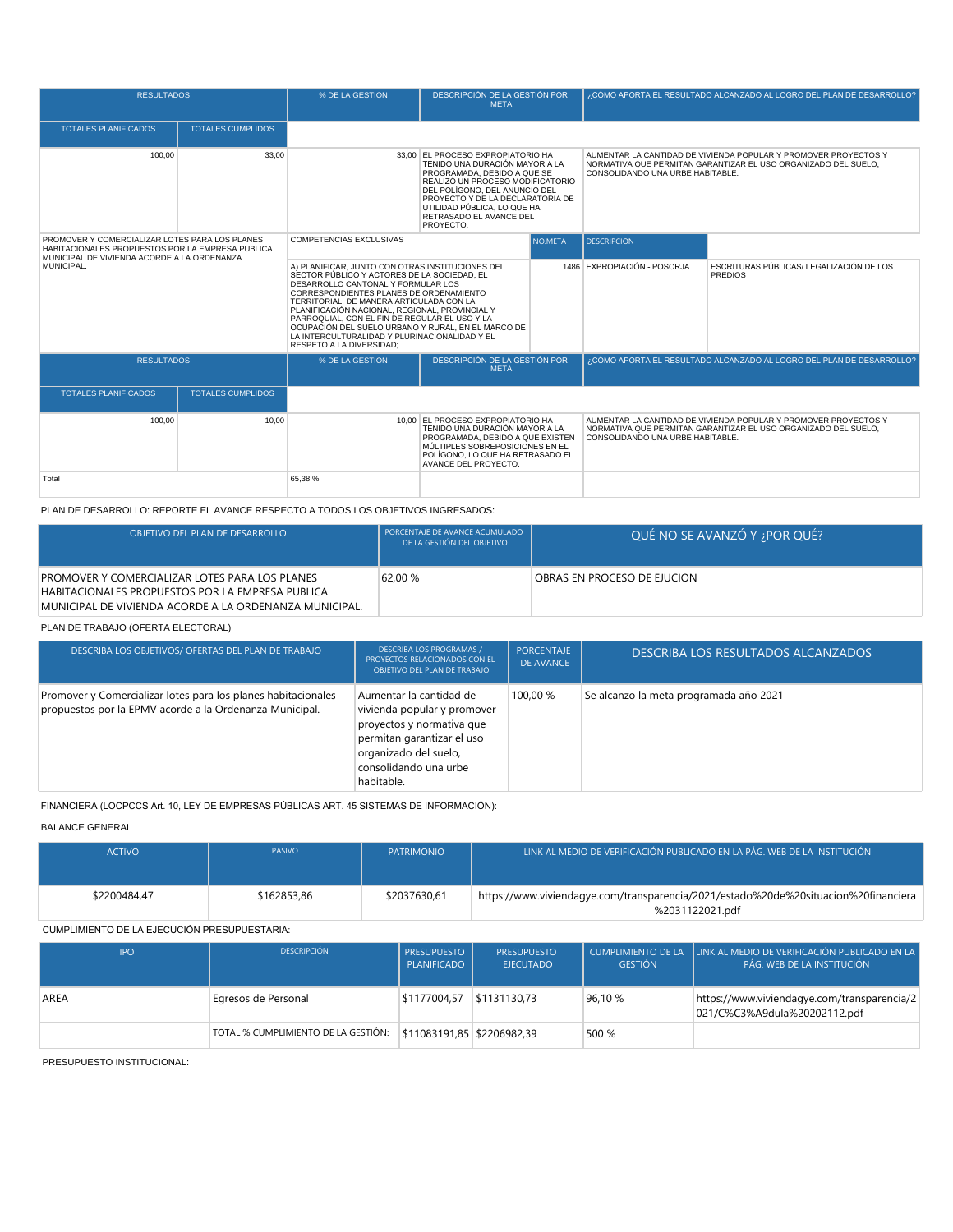| <b>RESULTADOS</b>                                         |                                                                                                                               | % DE LA GESTION                                                                                                                                                                                                                                                                                                                                                                                                                                                           | DESCRIPCIÓN DE LA GESTIÓN POR<br><b>META</b>                                                                                                                                                                                                                                       |                             |                                                            | ¿CÓMO APORTA EL RESULTADO ALCANZADO AL LOGRO DEL PLAN DE DESARROLLO?                                                              |
|-----------------------------------------------------------|-------------------------------------------------------------------------------------------------------------------------------|---------------------------------------------------------------------------------------------------------------------------------------------------------------------------------------------------------------------------------------------------------------------------------------------------------------------------------------------------------------------------------------------------------------------------------------------------------------------------|------------------------------------------------------------------------------------------------------------------------------------------------------------------------------------------------------------------------------------------------------------------------------------|-----------------------------|------------------------------------------------------------|-----------------------------------------------------------------------------------------------------------------------------------|
| <b>TOTALES PLANIFICADOS</b>                               | <b>TOTALES CUMPLIDOS</b>                                                                                                      |                                                                                                                                                                                                                                                                                                                                                                                                                                                                           |                                                                                                                                                                                                                                                                                    |                             |                                                            |                                                                                                                                   |
| 100.00                                                    | 33.00                                                                                                                         |                                                                                                                                                                                                                                                                                                                                                                                                                                                                           | 33.00 EL PROCESO EXPROPIATORIO HA<br>TENIDO UNA DURACIÓN MAYOR A LA<br>PROGRAMADA, DEBIDO A QUE SE<br>REALIZÓ UN PROCESO MODIFICATORIO<br>DEL POLÍGONO. DEL ANUNCIO DEL<br>PROYECTO Y DE LA DECLARATORIA DE<br>UTILIDAD PÚBLICA. LO QUE HA<br>RETRASADO EL AVANCE DEL<br>PROYECTO. |                             | CONSOLIDANDO UNA URBE HABITABLE.                           | AUMENTAR LA CANTIDAD DE VIVIENDA POPULAR Y PROMOVER PROYECTOS Y<br>NORMATIVA QUE PERMITAN GARANTIZAR EL USO ORGANIZADO DEL SUELO. |
|                                                           | PROMOVER Y COMERCIALIZAR LOTES PARA LOS PLANES<br>COMPETENCIAS EXCLUSIVAS<br>HABITACIONALES PROPUESTOS POR LA EMPRESA PUBLICA |                                                                                                                                                                                                                                                                                                                                                                                                                                                                           |                                                                                                                                                                                                                                                                                    | NO.META                     | <b>DESCRIPCION</b>                                         |                                                                                                                                   |
| MUNICIPAL DE VIVIENDA ACORDE A LA ORDENANZA<br>MUNICIPAL. |                                                                                                                               | A) PLANIFICAR, JUNTO CON OTRAS INSTITUCIONES DEL<br>SECTOR PÚBLICO Y ACTORES DE LA SOCIEDAD. EL<br>DESARROLLO CANTONAL Y FORMULAR LOS<br>CORRESPONDIENTES PLANES DE ORDENAMIENTO<br>TERRITORIAL, DE MANERA ARTICULADA CON LA<br>PLANIFICACIÓN NACIONAL, REGIONAL, PROVINCIAL Y<br>PARROQUIAL, CON EL FIN DE REGULAR EL USO Y LA<br>OCUPACIÓN DEL SUELO URBANO Y RURAL. EN EL MARCO DE<br>LA INTERCULTURALIDAD Y PLURINACIONALIDAD Y EL<br><b>RESPETO A LA DIVERSIDAD:</b> |                                                                                                                                                                                                                                                                                    | 1486 EXPROPIACIÓN - POSORJA | ESCRITURAS PÚBLICAS/ LEGALIZACIÓN DE LOS<br><b>PREDIOS</b> |                                                                                                                                   |
| <b>RESULTADOS</b>                                         |                                                                                                                               | % DE LA GESTION                                                                                                                                                                                                                                                                                                                                                                                                                                                           | <b>DESCRIPCIÓN DE LA GESTIÓN POR</b><br><b>META</b>                                                                                                                                                                                                                                |                             |                                                            | ¿CÓMO APORTA EL RESULTADO ALCANZADO AL LOGRO DEL PLAN DE DESARROLLO?                                                              |
| <b>TOTALES PLANIFICADOS</b>                               | <b>TOTALES CUMPLIDOS</b>                                                                                                      |                                                                                                                                                                                                                                                                                                                                                                                                                                                                           |                                                                                                                                                                                                                                                                                    |                             |                                                            |                                                                                                                                   |
| 100.00                                                    | 10.00                                                                                                                         |                                                                                                                                                                                                                                                                                                                                                                                                                                                                           | 10.00 EL PROCESO EXPROPIATORIO HA<br>TENIDO UNA DURACIÓN MAYOR A LA<br>PROGRAMADA, DEBIDO A QUE EXISTEN<br>MÚLTIPLES SOBREPOSICIONES EN EL<br>POLÍGONO. LO QUE HA RETRASADO EL<br>AVANCE DEL PROYECTO.                                                                             |                             | CONSOLIDANDO UNA URBE HABITABLE.                           | AUMENTAR LA CANTIDAD DE VIVIENDA POPULAR Y PROMOVER PROYECTOS Y<br>NORMATIVA QUE PERMITAN GARANTIZAR EL USO ORGANIZADO DEL SUELO. |
| Total                                                     |                                                                                                                               | 65.38 %                                                                                                                                                                                                                                                                                                                                                                                                                                                                   |                                                                                                                                                                                                                                                                                    |                             |                                                            |                                                                                                                                   |

PLAN DE DESARROLLO: REPORTE EL AVANCE RESPECTO A TODOS LOS OBJETIVOS INGRESADOS:

| OBJETIVO DEL PLAN DE DESARROLLO                                                                                                                              | PORCENTAJE DE AVANCE ACUMULADO<br>DE LA GESTIÓN DEL OBJETIVO | QUÉ NO SE AVANZÓ Y ; POR QUÉ? |
|--------------------------------------------------------------------------------------------------------------------------------------------------------------|--------------------------------------------------------------|-------------------------------|
| PROMOVER Y COMERCIALIZAR LOTES PARA LOS PLANES<br>HABITACIONALES PROPUESTOS POR LA EMPRESA PUBLICA<br>MUNICIPAL DE VIVIENDA ACORDE A LA ORDENANZA MUNICIPAL. | 62.00 %                                                      | OBRAS EN PROCESO DE EJUCION   |

## PLAN DE TRABAJO (OFERTA ELECTORAL)

| DESCRIBA LOS OBJETIVOS/ OFERTAS DEL PLAN DE TRABAJO                                                                      | <b>DESCRIBA LOS PROGRAMAS /</b><br>PROYECTOS RELACIONADOS CON EL<br>OBJETIVO DEL PLAN DE TRABAJO                                                                                  | PORCENTAJE<br>DE AVANCE | DESCRIBA LOS RESULTADOS ALCANZADOS     |
|--------------------------------------------------------------------------------------------------------------------------|-----------------------------------------------------------------------------------------------------------------------------------------------------------------------------------|-------------------------|----------------------------------------|
| Promover y Comercializar lotes para los planes habitacionales<br>propuestos por la EPMV acorde a la Ordenanza Municipal. | Aumentar la cantidad de<br>vivienda popular y promover<br>proyectos y normativa que<br>permitan garantizar el uso<br>organizado del suelo,<br>consolidando una urbe<br>habitable. | 100.00 %                | Se alcanzo la meta programada año 2021 |

FINANCIERA (LOCPCCS Art. 10, LEY DE EMPRESAS PÚBLICAS ART. 45 SISTEMAS DE INFORMACIÓN):

BALANCE GENERAL

| <b>ACTIVO</b> | <b>PASIVO</b> | <b>PATRIMONIO</b> | LINK AL MEDIO DE VERIFICACIÓN PUBLICADO EN LA PÁG. WEB DE LA INSTITUCIÓN                               |
|---------------|---------------|-------------------|--------------------------------------------------------------------------------------------------------|
| \$2200484.47  | \$162853.86   | \$2037630.61      | https://www.viviendagye.com/transparencia/2021/estado%20de%20situacion%20financiera<br>%2031122021.pdf |

CUMPLIMIENTO DE LA EJECUCIÓN PRESUPUESTARIA:

| <b>TIPO</b> | <b>DESCRIPCIÓN</b>                  | <b>PRESUPUESTO</b><br>PLANIFICADO | <b>PRESUPUESTO</b><br><b>EJECUTADO</b> | <b>GESTIÓN</b> | CUMPLIMIENTO DE LA HUNK AL MEDIO DE VERIFICACIÓN PUBLICADO EN LA<br>PÁG. WEB DE LA INSTITUCIÓN |
|-------------|-------------------------------------|-----------------------------------|----------------------------------------|----------------|------------------------------------------------------------------------------------------------|
| AREA        | Egresos de Personal                 | \$1177004.57                      | \$1131130.73                           | 96.10 %        | https://www.viviendagye.com/transparencia/2<br>021/C%C3%A9dula%20202112.pdf                    |
|             | TOTAL % CUMPLIMIENTO DE LA GESTIÓN: | \$11083191.85 \$2206982.39        |                                        | 500 %          |                                                                                                |

PRESUPUESTO INSTITUCIONAL: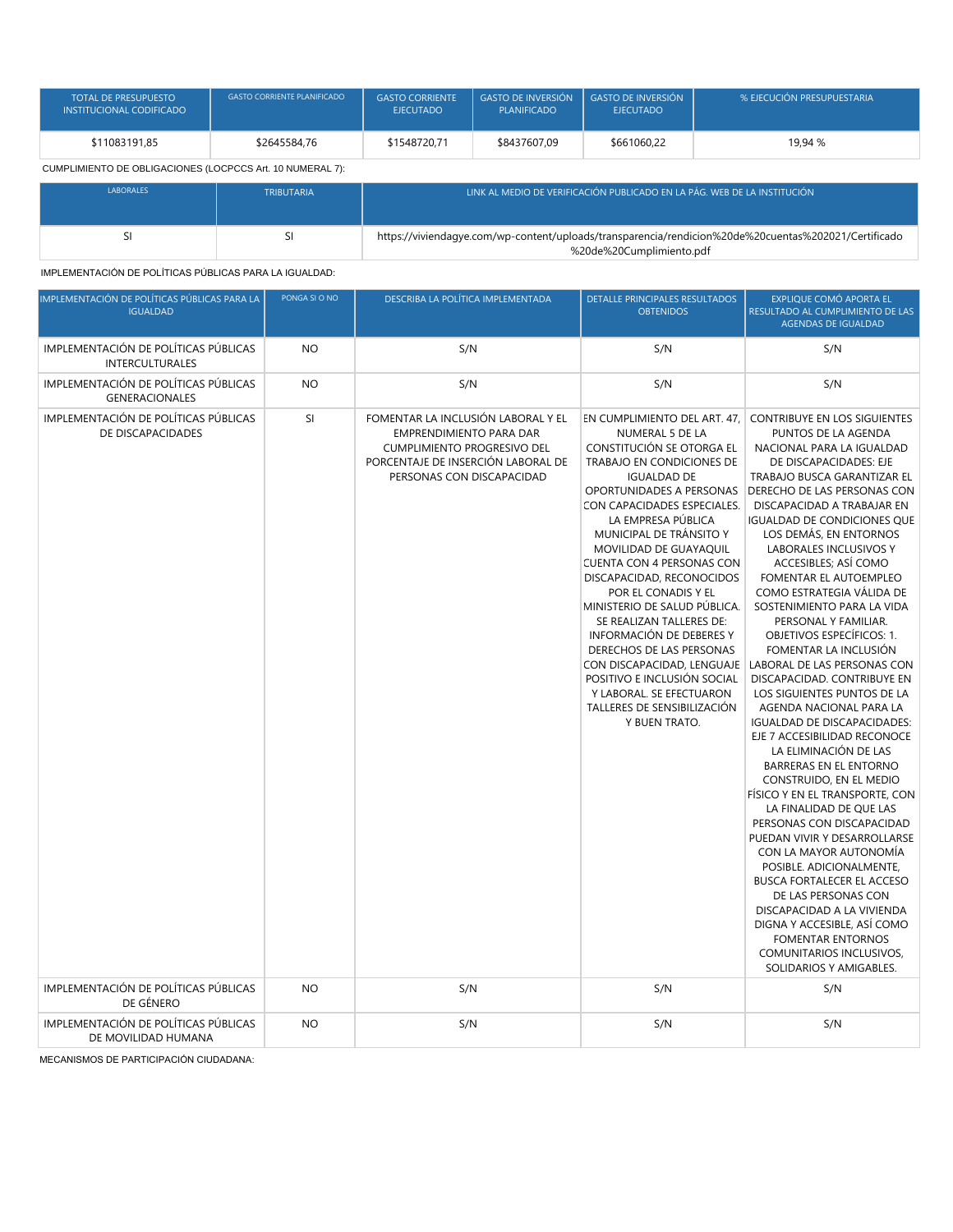| <b>TOTAL DE PRESUPUESTO</b><br><b>INSTITUCIONAL CODIFICADO</b> | <b>GASTO CORRIENTE PLANIFICADO</b> | <b>GASTO CORRIENTE</b><br><b>EJECUTADO</b> | <b>GASTO DE INVERSIÓN</b><br><b>PLANIFICADO</b> | GASTO DE INVERSIÓN<br><b>EJECUTADO</b> | % EJECUCIÓN PRESUPUESTARIA |
|----------------------------------------------------------------|------------------------------------|--------------------------------------------|-------------------------------------------------|----------------------------------------|----------------------------|
| \$11083191.85                                                  | \$2645584.76                       | \$1548720.71                               | \$8437607.09                                    | \$661060.22                            | 19.94 %                    |
| CUMPLIMIENTO DE OBLIGACIONES (LOCPCCS Art. 10 NUMERAL 7):      |                                    |                                            |                                                 |                                        |                            |

| <b>LABORALES</b> | <b>TRIBUTARIA</b> | I LINK AL MEDIO DE VERIFICACIÓN PUBLICADO EN LA PÁG. WEB DE LA INSTITUCIÓN <sup>"</sup>                                          |
|------------------|-------------------|----------------------------------------------------------------------------------------------------------------------------------|
|                  |                   | https://viviendagye.com/wp-content/uploads/transparencia/rendicion%20de%20cuentas%202021/Certificado<br>%20de%20Cumplimiento.pdf |

IMPLEMENTACIÓN DE POLÍTICAS PÚBLICAS PARA LA IGUALDAD:

| IMPLEMENTACIÓN DE POLÍTICAS PÚBLICAS PARA LA<br><b>IGUALDAD</b> | PONGA SI O NO | DESCRIBA LA POLÍTICA IMPLEMENTADA                                                                                                                                             | DETALLE PRINCIPALES RESULTADOS<br><b>OBTENIDOS</b>                                                                                                                                                                                                                                                                                                                                                                                                                                                                                                                                           | EXPLIQUE COMÓ APORTA EL<br>RESULTADO AL CUMPLIMIENTO DE LAS<br><b>AGENDAS DE IGUALDAD</b>                                                                                                                                                                                                                                                                                                                                                                                                                                                                                                                                                                                                                                                                                                                                                                                                                                                                                                                                                                                                                                                                                                                             |
|-----------------------------------------------------------------|---------------|-------------------------------------------------------------------------------------------------------------------------------------------------------------------------------|----------------------------------------------------------------------------------------------------------------------------------------------------------------------------------------------------------------------------------------------------------------------------------------------------------------------------------------------------------------------------------------------------------------------------------------------------------------------------------------------------------------------------------------------------------------------------------------------|-----------------------------------------------------------------------------------------------------------------------------------------------------------------------------------------------------------------------------------------------------------------------------------------------------------------------------------------------------------------------------------------------------------------------------------------------------------------------------------------------------------------------------------------------------------------------------------------------------------------------------------------------------------------------------------------------------------------------------------------------------------------------------------------------------------------------------------------------------------------------------------------------------------------------------------------------------------------------------------------------------------------------------------------------------------------------------------------------------------------------------------------------------------------------------------------------------------------------|
| IMPLEMENTACIÓN DE POLÍTICAS PÚBLICAS<br><b>INTERCULTURALES</b>  | <b>NO</b>     | S/N                                                                                                                                                                           | S/N                                                                                                                                                                                                                                                                                                                                                                                                                                                                                                                                                                                          | S/N                                                                                                                                                                                                                                                                                                                                                                                                                                                                                                                                                                                                                                                                                                                                                                                                                                                                                                                                                                                                                                                                                                                                                                                                                   |
| IMPLEMENTACIÓN DE POLÍTICAS PÚBLICAS<br><b>GENERACIONALES</b>   | <b>NO</b>     | S/N                                                                                                                                                                           | S/N                                                                                                                                                                                                                                                                                                                                                                                                                                                                                                                                                                                          | S/N                                                                                                                                                                                                                                                                                                                                                                                                                                                                                                                                                                                                                                                                                                                                                                                                                                                                                                                                                                                                                                                                                                                                                                                                                   |
| IMPLEMENTACIÓN DE POLÍTICAS PÚBLICAS<br>DE DISCAPACIDADES       | SI            | FOMENTAR LA INCLUSIÓN LABORAL Y EL<br><b>EMPRENDIMIENTO PARA DAR</b><br><b>CUMPLIMIENTO PROGRESIVO DEL</b><br>PORCENTAJE DE INSERCIÓN LABORAL DE<br>PERSONAS CON DISCAPACIDAD | EN CUMPLIMIENTO DEL ART. 47,<br>NUMERAL 5 DE LA<br>CONSTITUCIÓN SE OTORGA EL<br>TRABAJO EN CONDICIONES DE<br><b>IGUALDAD DE</b><br>OPORTUNIDADES A PERSONAS<br>CON CAPACIDADES ESPECIALES.<br>LA EMPRESA PÚBLICA<br>MUNICIPAL DE TRÁNSITO Y<br>MOVILIDAD DE GUAYAQUIL<br>CUENTA CON 4 PERSONAS CON<br>DISCAPACIDAD, RECONOCIDOS<br>POR EL CONADIS Y EL<br>MINISTERIO DE SALUD PÚBLICA.<br>SE REALIZAN TALLERES DE:<br><b>INFORMACIÓN DE DEBERES Y</b><br>DERECHOS DE LAS PERSONAS<br>POSITIVO E INCLUSIÓN SOCIAL<br>Y LABORAL. SE EFECTUARON<br>TALLERES DE SENSIBILIZACIÓN<br>Y BUEN TRATO. | <b>CONTRIBUYE EN LOS SIGUIENTES</b><br>PUNTOS DE LA AGENDA<br>NACIONAL PARA LA IGUALDAD<br>DE DISCAPACIDADES: EJE<br>TRABAJO BUSCA GARANTIZAR EL<br><b>DERECHO DE LAS PERSONAS CON</b><br>DISCAPACIDAD A TRABAJAR EN<br><b>IGUALDAD DE CONDICIONES QUE</b><br>LOS DEMÁS, EN ENTORNOS<br>LABORALES INCLUSIVOS Y<br>ACCESIBLES; ASÍ COMO<br>FOMENTAR EL AUTOEMPLEO<br>COMO ESTRATEGIA VÁLIDA DE<br>SOSTENIMIENTO PARA LA VIDA<br>PERSONAL Y FAMILIAR.<br><b>OBJETIVOS ESPECÍFICOS: 1.</b><br>FOMENTAR LA INCLUSIÓN<br>CON DISCAPACIDAD, LENGUAJE   LABORAL DE LAS PERSONAS CON<br>DISCAPACIDAD, CONTRIBUYE EN<br>LOS SIGUIENTES PUNTOS DE LA<br>AGENDA NACIONAL PARA LA<br><b>IGUALDAD DE DISCAPACIDADES:</b><br>EJE 7 ACCESIBILIDAD RECONOCE<br>LA ELIMINACIÓN DE LAS<br>BARRERAS EN EL ENTORNO<br>CONSTRUIDO, EN EL MEDIO<br>FÍSICO Y EN EL TRANSPORTE, CON<br>LA FINALIDAD DE QUE LAS<br>PERSONAS CON DISCAPACIDAD<br>PUEDAN VIVIR Y DESARROLLARSE<br>CON LA MAYOR AUTONOMÍA<br>POSIBLE, ADICIONALMENTE,<br><b>BUSCA FORTALECER EL ACCESO</b><br>DE LAS PERSONAS CON<br>DISCAPACIDAD A LA VIVIENDA<br>DIGNA Y ACCESIBLE, ASÍ COMO<br><b>FOMENTAR ENTORNOS</b><br>COMUNITARIOS INCLUSIVOS.<br>SOLIDARIOS Y AMIGABLES. |
| IMPLEMENTACIÓN DE POLÍTICAS PÚBLICAS<br>DE GÉNERO               | <b>NO</b>     | S/N                                                                                                                                                                           | S/N                                                                                                                                                                                                                                                                                                                                                                                                                                                                                                                                                                                          | S/N                                                                                                                                                                                                                                                                                                                                                                                                                                                                                                                                                                                                                                                                                                                                                                                                                                                                                                                                                                                                                                                                                                                                                                                                                   |
| IMPLEMENTACIÓN DE POLÍTICAS PÚBLICAS<br>DE MOVILIDAD HUMANA     | <b>NO</b>     | S/N                                                                                                                                                                           | S/N                                                                                                                                                                                                                                                                                                                                                                                                                                                                                                                                                                                          | S/N                                                                                                                                                                                                                                                                                                                                                                                                                                                                                                                                                                                                                                                                                                                                                                                                                                                                                                                                                                                                                                                                                                                                                                                                                   |

MECANISMOS DE PARTICIPACIÓN CIUDADANA: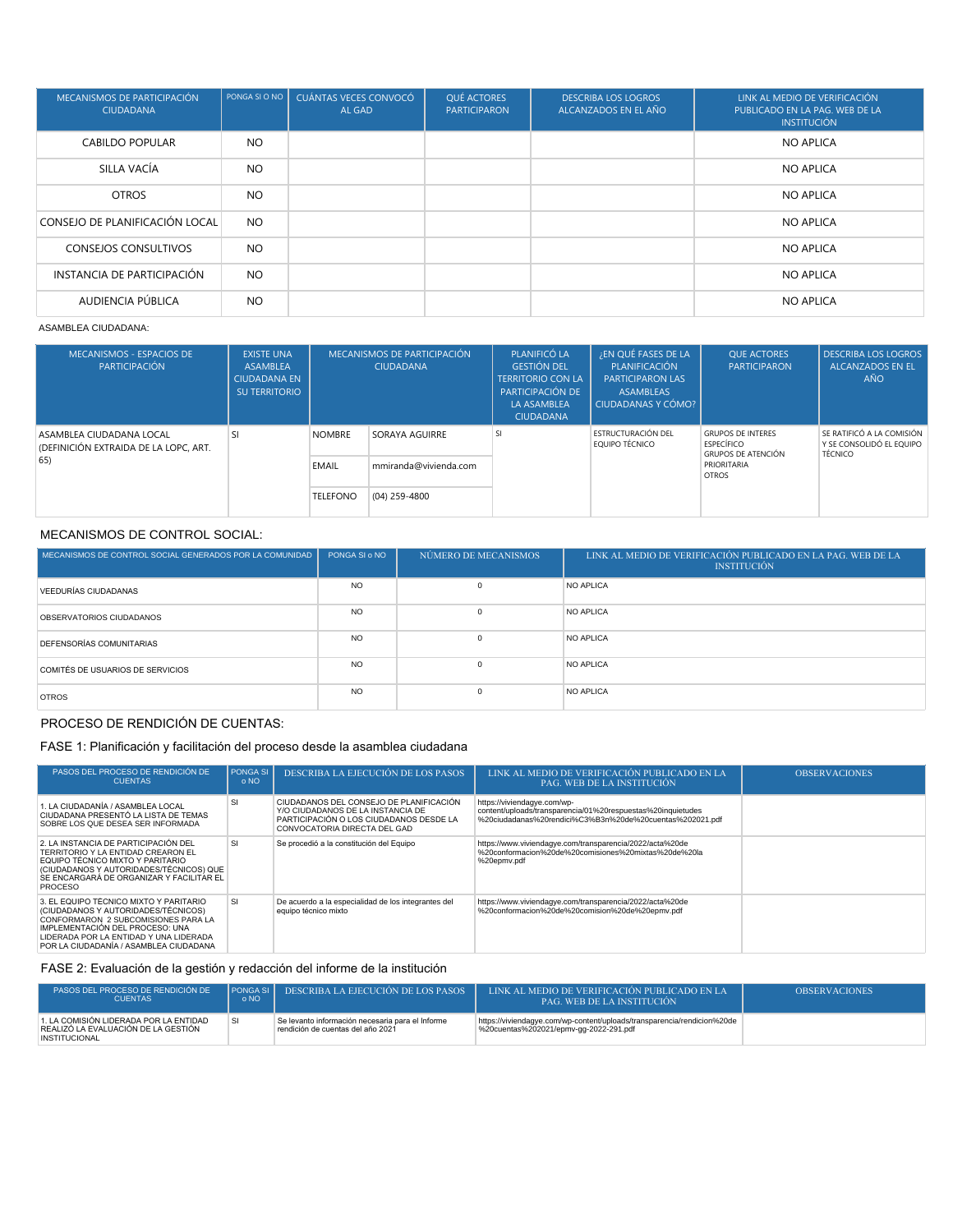| MECANISMOS DE PARTICIPACIÓN<br><b>CIUDADANA</b> | PONGA SI O NO | CUÁNTAS VECES CONVOCÓ<br>AL GAD | <b>QUÉ ACTORES</b><br><b>PARTICIPARON</b> | <b>DESCRIBA LOS LOGROS</b><br>ALCANZADOS EN EL AÑO | LINK AL MEDIO DE VERIFICACIÓN<br>PUBLICADO EN LA PAG. WEB DE LA<br><b>INSTITUCIÓN</b> |
|-------------------------------------------------|---------------|---------------------------------|-------------------------------------------|----------------------------------------------------|---------------------------------------------------------------------------------------|
| <b>CABILDO POPULAR</b>                          | <b>NO</b>     |                                 |                                           |                                                    | <b>NO APLICA</b>                                                                      |
| SILLA VACÍA                                     | <b>NO</b>     |                                 |                                           |                                                    | NO APLICA                                                                             |
| <b>OTROS</b>                                    | <b>NO</b>     |                                 |                                           |                                                    | <b>NO APLICA</b>                                                                      |
| CONSEJO DE PLANIFICACIÓN LOCAL                  | <b>NO</b>     |                                 |                                           |                                                    | <b>NO APLICA</b>                                                                      |
| <b>CONSEJOS CONSULTIVOS</b>                     | <b>NO</b>     |                                 |                                           |                                                    | NO APLICA                                                                             |
| INSTANCIA DE PARTICIPACIÓN                      | <b>NO</b>     |                                 |                                           |                                                    | <b>NO APLICA</b>                                                                      |
| AUDIENCIA PÚBLICA                               | <b>NO</b>     |                                 |                                           |                                                    | <b>NO APLICA</b>                                                                      |

#### ASAMBLEA CIUDADANA:

| <b>MECANISMOS - ESPACIOS DE</b><br><b>PARTICIPACIÓN</b>           | <b>EXISTE UNA</b><br><b>ASAMBLEA</b><br><b>CIUDADANA EN</b><br><b>SU TERRITORIO</b> | MECANISMOS DE PARTICIPACIÓN<br><b>CIUDADANA</b> |                       | PLANIFICÓ LA<br><b>GESTIÓN DEL</b><br><b>TERRITORIO CON LA</b><br>PARTICIPACIÓN DE<br>LA ASAMBLEA<br><b>CIUDADANA</b> | ¿EN QUÉ FASES DE LA<br>PLANIFICACIÓN<br><b>PARTICIPARON LAS</b><br><b>ASAMBLEAS</b><br>CIUDADANAS Y CÓMO? | <b>OUE ACTORES</b><br><b>PARTICIPARON</b>                                  | <b>DESCRIBA LOS LOGROS</b><br><b>ALCANZADOS EN EL</b><br><b>AÑO</b> |
|-------------------------------------------------------------------|-------------------------------------------------------------------------------------|-------------------------------------------------|-----------------------|-----------------------------------------------------------------------------------------------------------------------|-----------------------------------------------------------------------------------------------------------|----------------------------------------------------------------------------|---------------------------------------------------------------------|
| ASAMBLEA CIUDADANA LOCAL<br>(DEFINICIÓN EXTRAIDA DE LA LOPC, ART. | SI.                                                                                 | <b>NOMBRE</b>                                   | SORAYA AGUIRRE        | SI                                                                                                                    | ESTRUCTURACIÓN DEL<br>EQUIPO TÉCNICO                                                                      | <b>GRUPOS DE INTERES</b><br><b>ESPECÍFICO</b><br><b>GRUPOS DE ATENCIÓN</b> | SE RATIFICÓ A LA COMISIÓN<br>Y SE CONSOLIDÓ EL EQUIPO<br>TÉCNICO    |
| 65)                                                               |                                                                                     | EMAIL                                           | mmiranda@vivienda.com |                                                                                                                       |                                                                                                           | PRIORITARIA<br><b>OTROS</b>                                                |                                                                     |
|                                                                   |                                                                                     | <b>TELEFONO</b>                                 | (04) 259-4800         |                                                                                                                       |                                                                                                           |                                                                            |                                                                     |

### MECANISMOS DE CONTROL SOCIAL:

| MECANISMOS DE CONTROL SOCIAL GENERADOS POR LA COMUNIDAD | PONGA SI o NO | NÚMERO DE MECANISMOS | LINK AL MEDIO DE VERIFICACIÓN PUBLICADO EN LA PAG. WEB DE LA<br><b>INSTITUCIÓN</b> |
|---------------------------------------------------------|---------------|----------------------|------------------------------------------------------------------------------------|
| VEEDURÍAS CIUDADANAS                                    | <b>NO</b>     | $\Omega$             | NO APLICA                                                                          |
| OBSERVATORIOS CIUDADANOS                                | <b>NO</b>     | $\Omega$             | NO APLICA                                                                          |
| DEFENSORÍAS COMUNITARIAS                                | <b>NO</b>     | $\Omega$             | NO APLICA                                                                          |
| COMITÉS DE USUARIOS DE SERVICIOS                        | <b>NO</b>     | $\Omega$             | NO APLICA                                                                          |
| <b>OTROS</b>                                            | <b>NO</b>     | $\Omega$             | NO APLICA                                                                          |

# PROCESO DE RENDICIÓN DE CUENTAS:

# FASE 1: Planificación y facilitación del proceso desde la asamblea ciudadana

| PASOS DEL PROCESO DE RENDICIÓN DE<br><b>CUENTAS</b>                                                                                                                                                                                         | PONGA SI<br>o NO | DESCRIBA LA EJECUCIÓN DE LOS PASOS                                                                                                                      | LINK AL MEDIO DE VERIFICACIÓN PUBLICADO EN LA<br>PAG. WEB DE LA INSTITUCIÓN                                                                            | <b>OBSERVACIONES</b> |
|---------------------------------------------------------------------------------------------------------------------------------------------------------------------------------------------------------------------------------------------|------------------|---------------------------------------------------------------------------------------------------------------------------------------------------------|--------------------------------------------------------------------------------------------------------------------------------------------------------|----------------------|
| 1. LA CIUDADANÍA / ASAMBLEA LOCAL<br>CIUDADANA PRESENTÓ LA LISTA DE TEMAS<br>SOBRE LOS QUE DESEA SER INFORMADA                                                                                                                              | S                | CIUDADANOS DEL CONSEJO DE PLANIFICACIÓN<br>Y/O CIUDADANOS DE LA INSTANCIA DE<br>PARTICIPACIÓN O LOS CIUDADANOS DESDE LA<br>CONVOCATORIA DIRECTA DEL GAD | https://viviendagye.com/wp-<br>content/uploads/transparencia/01%20respuestas%20inquietudes<br>%20ciudadanas%20rendici%C3%B3n%20de%20cuentas%202021.pdf |                      |
| 2. LA INSTANCIA DE PARTICIPACIÓN DEL<br>TERRITORIO Y LA ENTIDAD CREARON EL<br>EQUIPO TÉCNICO MIXTO Y PARITARIO<br>(CIUDADANOS Y AUTORIDADES/TÉCNICOS) QUE<br>SE ENCARGARÁ DE ORGANIZAR Y FACILITAR EL<br><b>PROCESO</b>                     | -SI              | Se procedió a la constitución del Equipo                                                                                                                | https://www.viviendagye.com/transparencia/2022/acta%20de<br>%20conformacion%20de%20comisiones%20mixtas%20de%20la<br>%20epmv.pdf                        |                      |
| 3. EL EQUIPO TÉCNICO MIXTO Y PARITARIO<br>(CIUDADANOS Y AUTORIDADES/TÉCNICOS)<br>CONFORMARON 2 SUBCOMISIONES PARA LA<br>IMPLEMENTACIÓN DEL PROCESO: UNA<br>LIDERADA POR LA ENTIDAD Y UNA LIDERADA<br>POR LA CIUDADANÍA / ASAMBLEA CIUDADANA | -SI              | De acuerdo a la especialidad de los integrantes del<br>equipo técnico mixto                                                                             | https://www.viviendagye.com/transparencia/2022/acta%20de<br>%20conformacion%20de%20comision%20de%20epmv.pdf                                            |                      |

# FASE 2: Evaluación de la gestión y redacción del informe de la institución

| <b>PASOS DEL PROCESO DE RENDICIÓN DE</b><br><b>CUENTAS</b>                                            | <b>I PONGA SI I</b><br>o NO | DESCRIBA LA EJECUCIÓN DE LOS PASOS                                                    | LINK AL MEDIO DE VERIFICACION PUBLICADO EN LA<br><b>PAG. WEB DE LA INSTITUCION</b>                                | <b>OBSERVACIONES</b> |
|-------------------------------------------------------------------------------------------------------|-----------------------------|---------------------------------------------------------------------------------------|-------------------------------------------------------------------------------------------------------------------|----------------------|
| 1. LA COMISIÓN LIDERADA POR LA ENTIDAD<br>REALIZÓ LA EVALUACIÓN DE LA GESTIÓN<br><b>INSTITUCIONAL</b> |                             | Se levanto información necesaria para el Informe<br>rendición de cuentas del año 2021 | https://viviendagye.com/wp-content/uploads/transparencia/rendicion%20de<br>%20cuentas%202021/epmv-gg-2022-291.pdf |                      |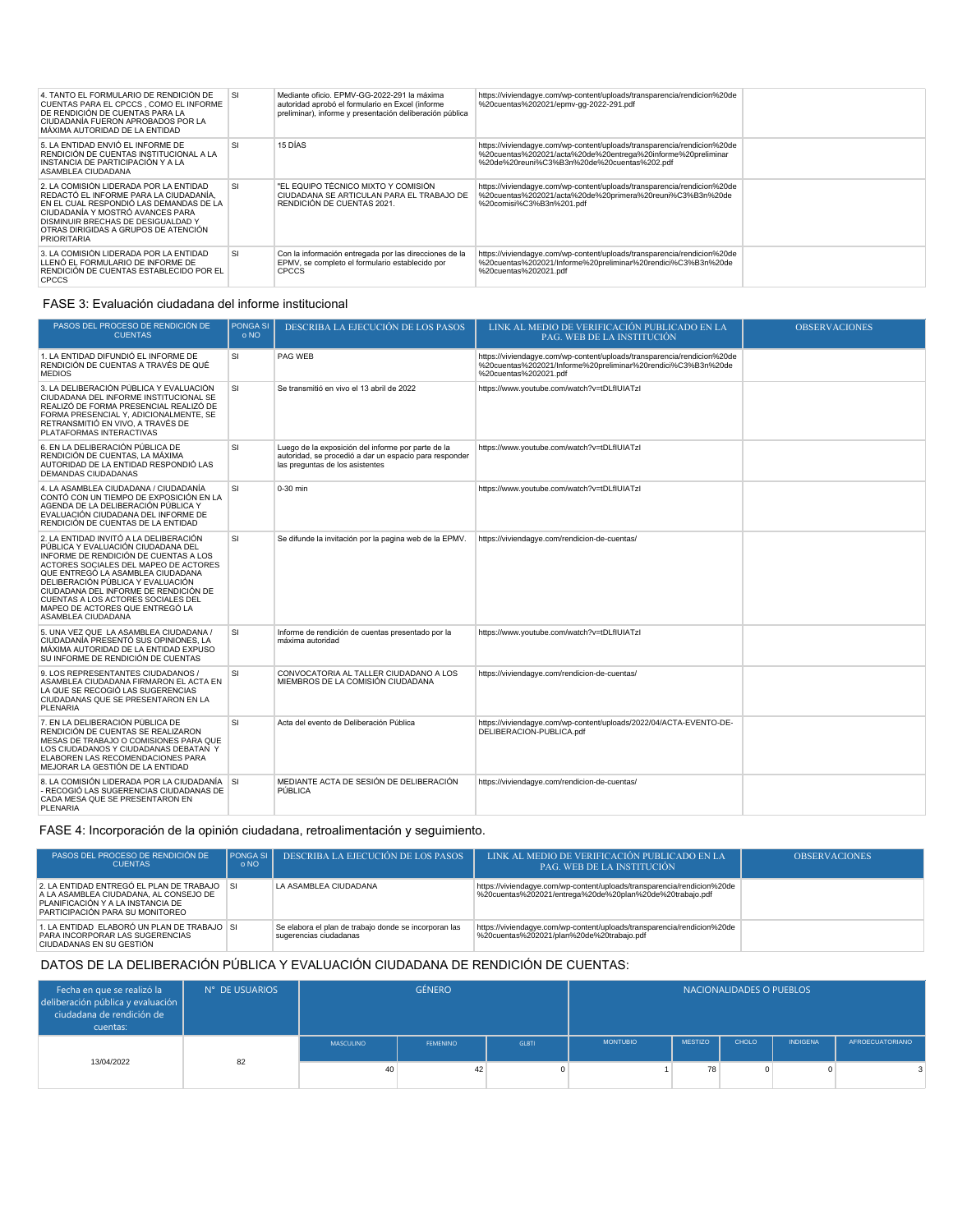| 4. TANTO EL FORMULARIO DE RENDICIÓN DE<br>CUENTAS PARA EL CPCCS, COMO EL INFORME<br>DE RENDICIÓN DE CUENTAS PARA LA<br>CIUDADANÍA FUERON APROBADOS POR LA<br>MÁXIMA AUTORIDAD DE LA ENTIDAD                                                                         | <b>SI</b> | Mediante oficio. FPMV-GG-2022-291 la máxima<br>autoridad aprobó el formulario en Excel (informe<br>preliminar), informe y presentación deliberación pública | https://viviendagye.com/wp-content/uploads/transparencia/rendicion%20de<br>%20cuentas%202021/epmv-gg-2022-291.pdf                                                                      |  |
|---------------------------------------------------------------------------------------------------------------------------------------------------------------------------------------------------------------------------------------------------------------------|-----------|-------------------------------------------------------------------------------------------------------------------------------------------------------------|----------------------------------------------------------------------------------------------------------------------------------------------------------------------------------------|--|
| 5. LA ENTIDAD ENVIÓ EL INFORME DE<br>RENDICIÓN DE CUENTAS INSTITUCIONAL A LA<br>INSTANCIA DE PARTICIPACIÓN Y A LA<br>ASAMBLEA CIUDADANA                                                                                                                             | <b>SI</b> | 15 DÍAS                                                                                                                                                     | https://viviendagye.com/wp-content/uploads/transparencia/rendicion%20de<br>%20cuentas%202021/acta%20de%20entrega%20informe%20preliminar<br>%20de%20reuni%C3%B3n%20de%20cuentas%202.pdf |  |
| 2. LA COMISIÓN LIDERADA POR LA ENTIDAD<br>REDACTÓ EL INFORME PARA LA CIUDADANÍA.<br>EN EL CUAL RESPONDIÓ LAS DEMANDAS DE LA<br>CIUDADANÍA Y MOSTRÓ AVANCES PARA<br>DISMINUIR BRECHAS DE DESIGUALDAD Y<br>OTRAS DIRIGIDAS A GRUPOS DE ATENCIÓN<br><b>PRIORITARIA</b> | SI        | "EL EQUIPO TÉCNICO MIXTO Y COMISIÓN<br>CIUDADANA SE ARTICULAN PARA EL TRABAJO DE<br>RENDICIÓN DE CUENTAS 2021.                                              | https://viviendagye.com/wp-content/uploads/transparencia/rendicion%20de<br>%20cuentas%202021/acta%20de%20primera%20reuni%C3%B3n%20de<br>%20comisi%C3%B3n%201.pdf                       |  |
| 3. LA COMISIÓN LIDERADA POR LA ENTIDAD<br>LLENÓ EL FORMULARIO DE INFORME DE<br>RENDICIÓN DE CUENTAS ESTABLECIDO POR EL<br><b>CPCCS</b>                                                                                                                              | SI        | Con la información entregada por las direcciones de la<br>EPMV, se completo el formulario establecido por<br><b>CPCCS</b>                                   | https://viviendagye.com/wp-content/uploads/transparencia/rendicion%20de<br>%20cuentas%202021/Informe%20preliminar%20rendici%C3%B3n%20de<br>%20cuentas%202021.pdf                       |  |

### FASE 3: Evaluación ciudadana del informe institucional

| PASOS DEL PROCESO DE RENDICIÓN DE<br><b>CUENTAS</b>                                                                                                                                                                                                                                                                                                                              | <b>PONGA SI</b><br>0 NQ | DESCRIBA LA EJECUCIÓN DE LOS PASOS                                                                                                              | LINK AL MEDIO DE VERIFICACIÓN PUBLICADO EN LA<br>PAG. WEB DE LA INSTITUCIÓN                                                                                      | <b>OBSERVACIONES</b> |
|----------------------------------------------------------------------------------------------------------------------------------------------------------------------------------------------------------------------------------------------------------------------------------------------------------------------------------------------------------------------------------|-------------------------|-------------------------------------------------------------------------------------------------------------------------------------------------|------------------------------------------------------------------------------------------------------------------------------------------------------------------|----------------------|
| 1. LA ENTIDAD DIFUNDIÓ EL INFORME DE<br>RENDICIÓN DE CUENTAS A TRAVÉS DE QUÉ<br><b>MEDIOS</b>                                                                                                                                                                                                                                                                                    | SI                      | PAG WEB                                                                                                                                         | https://viviendagye.com/wp-content/uploads/transparencia/rendicion%20de<br>%20cuentas%202021/Informe%20preliminar%20rendici%C3%B3n%20de<br>%20cuentas%202021.pdf |                      |
| 3. LA DELIBERACIÓN PÚBLICA Y EVALUACIÓN<br>CIUDADANA DEL INFORME INSTITUCIONAL SE<br>REALIZÓ DE FORMA PRESENCIAL REALIZÓ DE<br>FORMA PRESENCIAL Y, ADICIONALMENTE, SE<br>RETRANSMITIÓ EN VIVO. A TRAVÉS DE<br>PLATAFORMAS INTERACTIVAS                                                                                                                                           | SI                      | Se transmitió en vivo el 13 abril de 2022                                                                                                       | https://www.youtube.com/watch?v=tDLfIUIATzI                                                                                                                      |                      |
| 6. EN LA DELIBERACIÓN PÚBLICA DE<br>RENDICIÓN DE CUENTAS. LA MÁXIMA<br>AUTORIDAD DE LA ENTIDAD RESPONDIÓ LAS<br><b>DEMANDAS CIUDADANAS</b>                                                                                                                                                                                                                                       | SI                      | Luego de la exposición del informe por parte de la<br>autoridad, se procedió a dar un espacio para responder<br>las preguntas de los asistentes | https://www.youtube.com/watch?v=tDLfIUIATzI                                                                                                                      |                      |
| 4. LA ASAMBLEA CIUDADANA / CIUDADANÍA<br>CONTÓ CON UN TIEMPO DE EXPOSICIÓN EN LA<br>AGENDA DE LA DELIBERACIÓN PÚBLICA Y<br>EVALUACIÓN CIUDADANA DEL INFORME DE<br>RENDICIÓN DE CUENTAS DE LA ENTIDAD                                                                                                                                                                             | SI                      | 0-30 min                                                                                                                                        | https://www.youtube.com/watch?v=tDLfIUIATzI                                                                                                                      |                      |
| 2. LA ENTIDAD INVITÓ A LA DELIBERACIÓN<br>PÚBLICA Y EVALUACIÓN CIUDADANA DEL<br>INFORME DE RENDICIÓN DE CUENTAS A LOS<br>ACTORES SOCIALES DEL MAPEO DE ACTORES<br>QUE ENTREGÓ LA ASAMBLEA CIUDADANA<br>DELIBERACIÓN PÚBLICA Y EVALUACIÓN<br>CIUDADANA DEL INFORME DE RENDICIÓN DE<br>CUENTAS A LOS ACTORES SOCIALES DEL<br>MAPEO DE ACTORES QUE ENTREGO LA<br>ASAMBLEA CIUDADANA | <b>SI</b>               | Se difunde la invitación por la pagina web de la EPMV.                                                                                          | https://viviendagye.com/rendicion-de-cuentas/                                                                                                                    |                      |
| 5. UNA VEZ QUE LA ASAMBLEA CIUDADANA /<br>CIUDADANÍA PRESENTÓ SUS OPINIONES. LA<br>MÁXIMA AUTORIDAD DE LA ENTIDAD EXPUSO<br>SU INFORME DE RENDICIÓN DE CUENTAS                                                                                                                                                                                                                   | <b>SI</b>               | Informe de rendición de cuentas presentado por la<br>máxima autoridad                                                                           | https://www.youtube.com/watch?v=tDLfIUIATzI                                                                                                                      |                      |
| 9. LOS REPRESENTANTES CIUDADANOS /<br>ASAMBLEA CIUDADANA FIRMARON EL ACTA EN<br>LA QUE SE RECOGIÓ LAS SUGERENCIAS<br>CIUDADANAS QUE SE PRESENTARON EN LA<br>PLENARIA                                                                                                                                                                                                             | <b>SI</b>               | CONVOCATORIA AL TALLER CIUDADANO A LOS<br>MIEMBROS DE LA COMISIÓN CIUDADANA                                                                     | https://viviendagye.com/rendicion-de-cuentas/                                                                                                                    |                      |
| 7. EN LA DELIBERACIÓN PÚBLICA DE<br>RENDICIÓN DE CUENTAS SE REALIZARON<br>MESAS DE TRABAJO O COMISIONES PARA QUE<br>LOS CIUDADANOS Y CIUDADANAS DEBATAN Y<br>ELABOREN LAS RECOMENDACIONES PARA<br>MEJORAR LA GESTIÓN DE LA ENTIDAD                                                                                                                                               | <b>SI</b>               | Acta del evento de Deliberación Pública                                                                                                         | https://viviendagye.com/wp-content/uploads/2022/04/ACTA-EVENTO-DE-<br>DELIBERACION-PUBLICA.pdf                                                                   |                      |
| 8. LA COMISIÓN LIDERADA POR LA CIUDADANÍA SI<br>- RECOGIÓ LAS SUGERENCIAS CIUDADANAS DE<br>CADA MESA QUE SE PRESENTARON EN<br><b>PLENARIA</b>                                                                                                                                                                                                                                    |                         | MEDIANTE ACTA DE SESIÓN DE DELIBERACIÓN<br>PÚBLICA                                                                                              | https://viviendagye.com/rendicion-de-cuentas/                                                                                                                    |                      |

## FASE 4: Incorporación de la opinión ciudadana, retroalimentación y seguimiento.

| PASOS DEL PROCESO DE RENDICIÓN DE<br><b>CUENTAS</b>                                                                                                           | <b>PONGA SI</b><br>o NO | DESCRIBA LA EJECUCIÓN DE LOS PASOS                                              | LINK AL MEDIO DE VERIFICACIÓN PUBLICADO EN LA .<br><b>PAG. WEB DE LA INSTITUCIÓN</b>                                                | <b>OBSERVACIONES</b> |
|---------------------------------------------------------------------------------------------------------------------------------------------------------------|-------------------------|---------------------------------------------------------------------------------|-------------------------------------------------------------------------------------------------------------------------------------|----------------------|
| 2. LA ENTIDAD ENTREGÓ EL PLAN DE TRABAJO SI<br>A LA ASAMBLEA CIUDADANA. AL CONSEJO DE<br>PLANIFICACIÓN Y A LA INSTANCIA DE<br>PARTICIPACIÓN PARA SU MONITOREO |                         | LA ASAMBLEA CIUDADANA                                                           | https://viviendagye.com/wp-content/uploads/transparencia/rendicion%20de<br>%20cuentas%202021/entrega%20de%20plan%20de%20trabajo.pdf |                      |
| 1. LA ENTIDAD ELABORÓ UN PLAN DE TRABAJO SI<br>PARA INCORPORAR LAS SUGERENCIAS<br>CIUDADANAS EN SU GESTIÓN                                                    |                         | Se elabora el plan de trabajo donde se incorporan las<br>sugerencias ciudadanas | https://viviendagye.com/wp-content/uploads/transparencia/rendicion%20de<br>%20cuentas%202021/plan%20de%20trabaio.pdf                |                      |

### DATOS DE LA DELIBERACIÓN PÚBLICA Y EVALUACIÓN CIUDADANA DE RENDICIÓN DE CUENTAS:

| Fecha en que se realizó la<br>deliberación pública y evaluación  <br>ciudadana de rendición de<br>cuentas: | N° DE USUARIOS | <b>GÉNERO</b>   |                 |              |                 | NACIONALIDADES O PUEBLOS |       |                 |                        |
|------------------------------------------------------------------------------------------------------------|----------------|-----------------|-----------------|--------------|-----------------|--------------------------|-------|-----------------|------------------------|
|                                                                                                            |                | MASCULINO       | <b>FEMENINO</b> | <b>GLBTI</b> | <b>MONTUBIO</b> | <b>MESTIZO</b>           | CHOLO | <b>INDIGENA</b> | <b>AFROECUATORIANO</b> |
| 13/04/2022                                                                                                 | 82             | 40 <sup>1</sup> | 42              |              |                 | 78                       | 0     |                 |                        |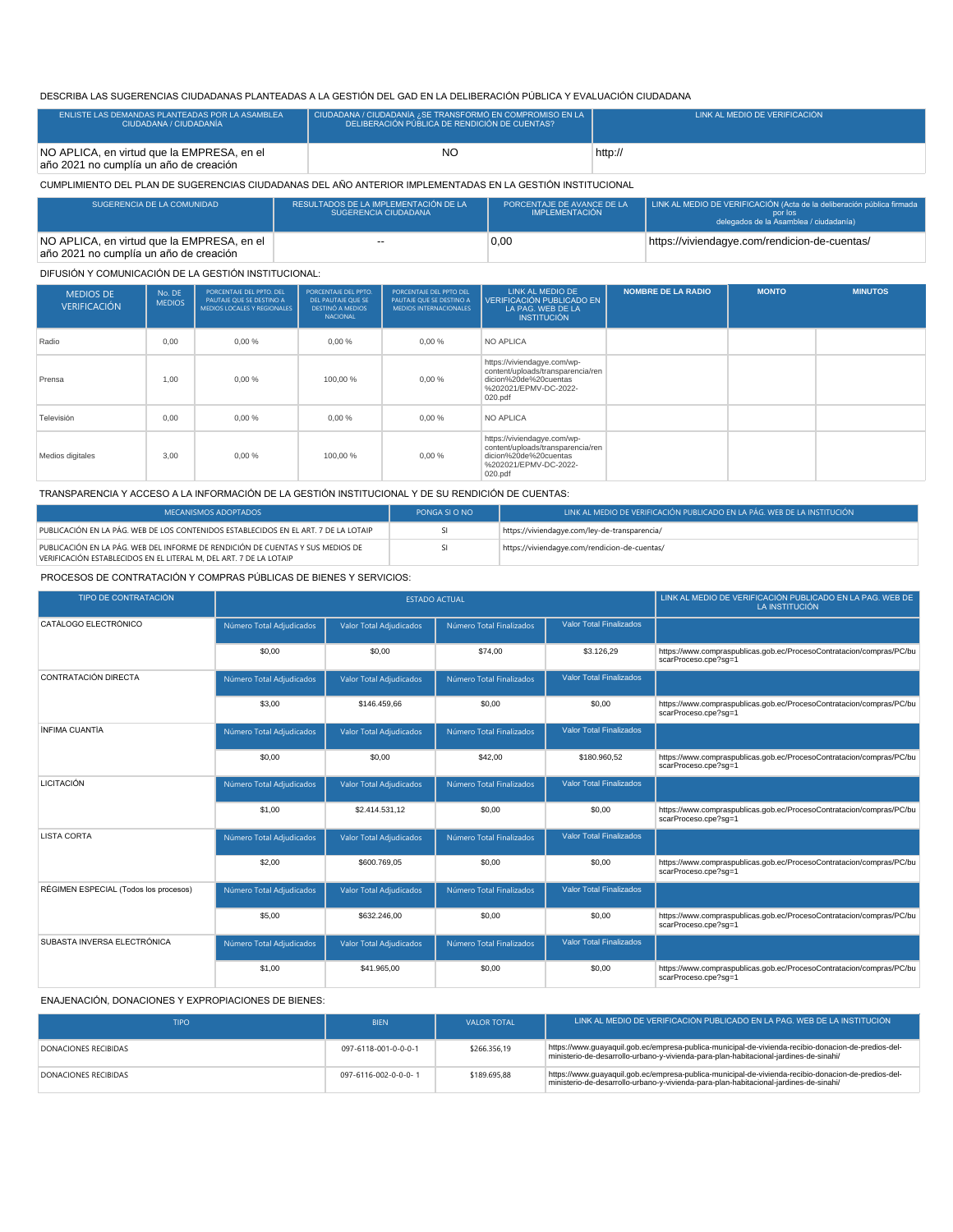### DESCRIBA LAS SUGERENCIAS CIUDADANAS PLANTEADAS A LA GESTIÓN DEL GAD EN LA DELIBERACIÓN PÚBLICA Y EVALUACIÓN CIUDADANA

| ENLISTE LAS DEMANDAS PLANTEADAS POR LA ASAMBLEA<br>CIUDADANA / CIUDADANÍA            | CIUDADANA / CIUDADANÍA ¿SE TRANSFORMÓ EN COMPROMISO EN LA<br>DELIBERACIÓN PÚBLICA DE RENDICIÓN DE CUENTAS? | LINK AL MEDIO DE VERIFICACIÓN |
|--------------------------------------------------------------------------------------|------------------------------------------------------------------------------------------------------------|-------------------------------|
| NO APLICA, en virtud que la EMPRESA, en el<br>año 2021 no cumplía un año de creación | NC                                                                                                         | http://                       |

CUMPLIMIENTO DEL PLAN DE SUGERENCIAS CIUDADANAS DEL AÑO ANTERIOR IMPLEMENTADAS EN LA GESTIÓN INSTITUCIONAL

| SUGERENCIA DE LA COMUNIDAD                                                           | RESULTADOS DE LA IMPLEMENTACIÓN DE LA<br>SUGERENCIA CIUDADANA | PORCENTAJE DE AVANCE DE LA<br><b>IMPLEMENTACIÓN</b> | LINK AL MEDIO DE VERIFICACIÓN (Acta de la deliberación pública firmada<br>por los<br>delegados de la Asamblea / ciudadanía) |
|--------------------------------------------------------------------------------------|---------------------------------------------------------------|-----------------------------------------------------|-----------------------------------------------------------------------------------------------------------------------------|
| NO APLICA, en virtud que la EMPRESA, en el<br>año 2021 no cumplía un año de creación | $-$                                                           | 0,00                                                | https://viviendagye.com/rendicion-de-cuentas/                                                                               |

#### DIFUSIÓN Y COMUNICACIÓN DE LA GESTIÓN INSTITUCIONAL:

| <b>MEDIOS DE</b><br><b>VERIFICACIÓN</b> | No. DE<br><b>MEDIOS</b> | PORCENTAJE DEL PPTO. DEL<br>PAUTAJE QUE SE DESTINO A<br>MEDIOS LOCALES Y REGIONALES | PORCENTAJE DEL PPTO.<br>DEL PAUTAJE QUE SE<br><b>DESTINÓ A MEDIOS</b><br><b>NACIONAL</b> | PORCENTAJE DEL PPTO DEL<br>PAUTAJE QUE SE DESTINO A<br><b>MEDIOS INTERNACIONALES</b> | LINK AL MEDIO DE<br>VERIFICACIÓN PUBLICADO EN<br>LA PAG. WEB DE LA<br><b>INSTITUCIÓN</b>                                      | <b>NOMBRE DE LA RADIO</b> | <b>MONTO</b> | <b>MINUTOS</b> |
|-----------------------------------------|-------------------------|-------------------------------------------------------------------------------------|------------------------------------------------------------------------------------------|--------------------------------------------------------------------------------------|-------------------------------------------------------------------------------------------------------------------------------|---------------------------|--------------|----------------|
| Radio                                   | 0.00                    | 0,00%                                                                               | 0,00%                                                                                    | 0,00%                                                                                | <b>NO APLICA</b>                                                                                                              |                           |              |                |
| Prensa                                  | 1.00                    | 0.00%                                                                               | 100.00 %                                                                                 | 0.00%                                                                                | https://viviendagye.com/wp-<br>content/uploads/transparencia/ren<br>dicion%20de%20cuentas<br>%202021/EPMV-DC-2022-<br>020.pdf |                           |              |                |
| Televisión                              | 0.00                    | 0.00%                                                                               | 0.00%                                                                                    | 0,00%                                                                                | NO APLICA                                                                                                                     |                           |              |                |
| Medios digitales                        | 3.00                    | 0.00%                                                                               | 100.00 %                                                                                 | 0,00%                                                                                | https://viviendagye.com/wp-<br>content/uploads/transparencia/ren<br>dicion%20de%20cuentas<br>%202021/EPMV-DC-2022-<br>020.pdf |                           |              |                |

TRANSPARENCIA Y ACCESO A LA INFORMACIÓN DE LA GESTIÓN INSTITUCIONAL Y DE SU RENDICIÓN DE CUENTAS:

| <b>MECANISMOS ADOPTADOS</b>                                                                                                                          | PONGA SI O NO | LINK AL MEDIO DE VERIFICACIÓN PUBLICADO EN LA PÁG. WEB DE LA INSTITUCIÓN , |
|------------------------------------------------------------------------------------------------------------------------------------------------------|---------------|----------------------------------------------------------------------------|
| PUBLICACIÓN EN LA PÁG. WEB DE LOS CONTENIDOS ESTABLECIDOS EN EL ART. 7 DE LA LOTAIP                                                                  |               | https://viviendagye.com/ley-de-transparencia/                              |
| PUBLICACIÓN EN LA PÁG. WEB DEL INFORME DE RENDICIÓN DE CUENTAS Y SUS MEDIOS DE<br>VERIFICACIÓN ESTABLECIDOS EN EL LITERAL M. DEL ART. 7 DE LA LOTAIP |               | https://viviendagye.com/rendicion-de-cuentas/                              |

PROCESOS DE CONTRATACIÓN Y COMPRAS PÚBLICAS DE BIENES Y SERVICIOS:

| TIPO DE CONTRATACIÓN                  |                          | <b>ESTADO ACTUAL</b>           | LINK AL MEDIO DE VERIFICACIÓN PUBLICADO EN LA PAG. WEB DE<br>LA INSTITUCIÓN |                                |                                                                                              |
|---------------------------------------|--------------------------|--------------------------------|-----------------------------------------------------------------------------|--------------------------------|----------------------------------------------------------------------------------------------|
| CATÁLOGO ELECTRÓNICO                  | Número Total Adjudicados | Valor Total Adjudicados        | Número Total Finalizados                                                    | <b>Valor Total Finalizados</b> |                                                                                              |
|                                       | \$0,00                   | \$0,00                         | \$74,00                                                                     | \$3.126,29                     | https://www.compraspublicas.gob.ec/ProcesoContratacion/compras/PC/bu<br>scarProceso.cpe?sq=1 |
| CONTRATACIÓN DIRECTA                  | Número Total Adjudicados | <b>Valor Total Adjudicados</b> | Número Total Finalizados                                                    | <b>Valor Total Finalizados</b> |                                                                                              |
|                                       | \$3.00                   | \$146,459.66                   | \$0,00                                                                      | \$0.00                         | https://www.compraspublicas.gob.ec/ProcesoContratacion/compras/PC/bu<br>scarProceso.cpe?sq=1 |
| ÍNFIMA CUANTÍA                        | Número Total Adjudicados | <b>Valor Total Adjudicados</b> | Número Total Finalizados                                                    | <b>Valor Total Finalizados</b> |                                                                                              |
|                                       | \$0,00                   | \$0,00                         | \$42,00                                                                     | \$180,960.52                   | https://www.compraspublicas.gob.ec/ProcesoContratacion/compras/PC/bu<br>scarProceso.cpe?sg=1 |
| <b>LICITACIÓN</b>                     | Número Total Adjudicados | <b>Valor Total Adjudicados</b> | Número Total Finalizados                                                    | <b>Valor Total Finalizados</b> |                                                                                              |
|                                       | \$1.00                   | \$2.414.531,12                 | \$0,00                                                                      | \$0,00                         | https://www.compraspublicas.gob.ec/ProcesoContratacion/compras/PC/bu<br>scarProceso.cpe?sq=1 |
| <b>LISTA CORTA</b>                    | Número Total Adjudicados | Valor Total Adjudicados        | Número Total Finalizados                                                    | <b>Valor Total Finalizados</b> |                                                                                              |
|                                       | \$2.00                   | \$600.769,05                   | \$0,00                                                                      | \$0,00                         | https://www.compraspublicas.gob.ec/ProcesoContratacion/compras/PC/bu<br>scarProceso.cpe?sq=1 |
| RÉGIMEN ESPECIAL (Todos los procesos) | Número Total Adjudicados | <b>Valor Total Adjudicados</b> | Número Total Finalizados                                                    | <b>Valor Total Finalizados</b> |                                                                                              |
|                                       | \$5.00                   | \$632,246.00                   | \$0,00                                                                      | \$0.00                         | https://www.compraspublicas.gob.ec/ProcesoContratacion/compras/PC/bu<br>scarProceso.cpe?sq=1 |
| SUBASTA INVERSA FLECTRÓNICA           | Número Total Adjudicados | <b>Valor Total Adjudicados</b> | Número Total Finalizados                                                    | <b>Valor Total Finalizados</b> |                                                                                              |
|                                       | \$1.00                   | \$41,965.00                    | \$0,00                                                                      | \$0.00                         | https://www.compraspublicas.gob.ec/ProcesoContratacion/compras/PC/bu<br>scarProceso.cpe?sq=1 |

#### ENAJENACIÓN, DONACIONES Y EXPROPIACIONES DE BIENES:

| <b>TIPO</b>                 | <b>BIEN</b>          | VALOR TOTAL  | LLINK AL MEDIO DE VERIFICACIÓN PUBLICADO EN LA PAG. WEB DE LA INSTITUCIÓN <sup>1</sup>                                                                                                       |
|-----------------------------|----------------------|--------------|----------------------------------------------------------------------------------------------------------------------------------------------------------------------------------------------|
| DONACIONES RECIBIDAS        | 097-6118-001-0-0-0-1 | \$266,356.19 | https://www.quayaquil.qob.ec/empresa-publica-municipal-de-vivienda-recibio-donacion-de-predios-del-<br>ministerio-de-desarrollo-urbano-y-vivienda-para-plan-habitacional-jardines-de-sinahi/ |
| <b>DONACIONES RECIBIDAS</b> | 097-6116-002-0-0-0-1 | \$189,695.88 | https://www.guayaquil.gob.ec/empresa-publica-municipal-de-vivienda-recibio-donacion-de-predios-del-<br>ministerio-de-desarrollo-urbano-y-vivienda-para-plan-habitacional-jardines-de-sinahi/ |